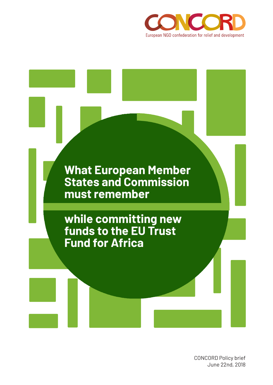



CONCORD Policy brief June 22nd, 2018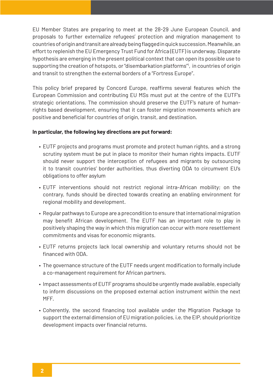EU Member States are preparing to meet at the 28-29 June European Council, and proposals to further externalize refugees' protection and migration management to countries of origin and transit are already being flagged in quick succession. Meanwhile, an effort to replenish the EU Emergency Trust Fund for Africa (EUTF) is underway. Disparate hypothesis are emerging in the present political context that can open its possible use to supporting the creation of hotspots, or "disembarkation platforms"<sup>1</sup>, in countries of origin and transit to strengthen the external borders of a "Fortress Europe".

This policy brief prepared by Concord Europe, reaffirms several features which the European Commission and contributing EU MSs must put at the centre of the EUTF's strategic orientations. The commission should preserve the EUTF's nature of humanrights based development, ensuring that it can foster migration movements which are positive and beneficial for countries of origin, transit, and destination.

#### **In particular, the following key directions are put forward:**

- EUTF projects and programs must promote and protect human rights, and a strong scrutiny system must be put in place to monitor their human rights impacts. EUTF should never support the interception of refugees and migrants by outsourcing it to transit countries' border authorities, thus diverting ODA to circumvent EU's obligations to offer asylum
- EUTF interventions should not restrict regional intra-African mobility; on the contrary, funds should be directed towards creating an enabling environment for regional mobility and development.
- Regular pathways to Europe are a precondition to ensure that international migration may benefit African development. The EUTF has an important role to play in positively shaping the way in which this migration can occur with more resettlement commitments and visas for economic migrants.
- EUTF returns projects lack local ownership and voluntary returns should not be financed with ODA.
- The governance structure of the EUTF needs urgent modification to formally include a co-management requirement for African partners.
- Impact assessments of EUTF programs should be urgently made available, especially to inform discussions on the proposed external action instrument within the next MFF.
- Coherently, the second financing tool available under the Migration Package to support the external dimension of EU migration policies, i.e. the EIP, should prioritize development impacts over financial returns.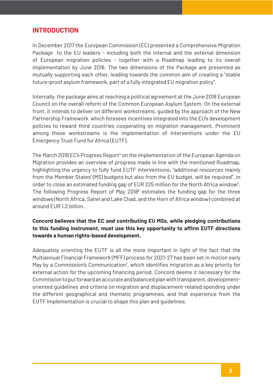# **INTRODUCTION**

In December 2017 the European Commission (EC) presented a Comprehensive Migration Package to the EU leaders - including both the internal and the external dimension of European migration policies - together with a Roadmap leading to its overall implementation by June 2018. The two dimensions of the Package are presented as mutually supporting each other, leading towards the common aim of creating a "stable future-proof asylum framework, part of a fully integrated EU migration policy".

Internally, the package aims at reaching a political agreement at the June 2018 European Council on the overall reform of the Common European Asylum System. On the external front, it intends to deliver on different workstreams, guided by the approach of the New Partnership Framework which foresees incentives integrated into the EU's development policies to reward third countries cooperating on migration management. Prominent among these workstreams is the implementation of interventions under the EU Emergency Trust Fund for Africa (EUTF).

The March 2018 EC's Progress Report<sup>4</sup> on the implementation of the European Agenda on Migration provides an overview of progress made in line with the mentioned Roadmap, highlighting the urgency to fully fund EUTF interventions: "additional resources mainly from the Member States' (MS) budgets but also from the EU budget, will be required", in order to close an estimated funding gap of EUR 225 million for the North Africa window<sup>5</sup>. The following Progress Report of May 2018<sup>6</sup> estimates the funding gap for the three windows (North Africa, Sahel and Lake Chad, and the Horn of Africa window) combined at around EUR 1,2 billion.

#### **Concord believes that the EC and contributing EU MSs, while pledging contributions to this funding instrument, must use this key opportunity to affirm EUTF directions towards a human rights-based development.**

Adequately orienting the EUTF is all the more important in light of the fact that the Multiannual Financial Framework (MFF) process for 2021-27 has been set in motion early May by a Commission's Communication<sup>7</sup>, which identifies migration as a key priority for external action for the upcoming financing period. Concord deems it necessary for the Commission to put forward an accurate and balanced plan with transparent, developmentoriented guidelines and criteria on migration and displacement-related spending under the different geographical and thematic programmes, and that experience from the EUTF implementation is crucial to shape this plan and guidelines.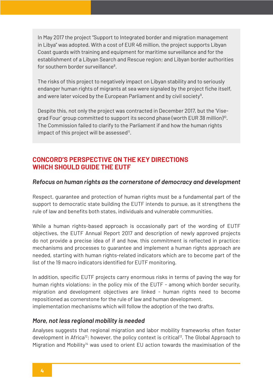In May 2017 the project "Support to Integrated border and migration management in Libya" was adopted. With a cost of EUR 46 million, the project supports Libyan Coast guards with training and equipment for maritime surveillance and for the establishment of a Libyan Search and Rescue region; and Libyan border authorities for southern border surveillance<sup>8</sup>.

The risks of this project to negatively impact on Libyan stability and to seriously endanger human rights of migrants at sea were signaled by the project fiche itself, and were later voiced by the European Parliament and by civil society $9$ .

Despite this, not only the project was contracted in December 2017, but the 'Visegrad Four' group committed to support its second phase (worth EUR 38 million)<sup>10</sup>. The Commission failed to clarify to the Parliament if and how the human rights impact of this project will be assessed<sup>11</sup>.

## **CONCORD'S PERSPECTIVE ON THE KEY DIRECTIONS WHICH SHOULD GUIDE THE FUTE**

#### *Refocus on human rights as the cornerstone of democracy and development*

Respect, guarantee and protection of human rights must be a fundamental part of the support to democratic state building the EUTF intends to pursue, as it strengthens the rule of law and benefits both states, individuals and vulnerable communities.

While a human rights-based approach is occasionally part of the wording of EUTF objectives, the EUTF Annual Report 2017 and description of newly approved projects do not provide a precise idea of if and how, this commitment is reflected in practice: mechanisms and processes to guarantee and implement a human rights approach are needed, starting with human rights-related indicators which are to become part of the list of the 19 macro indicators identified for EUTF monitoring.

In addition, specific EUTF projects carry enormous risks in terms of paving the way for human rights violations: in the policy mix of the EUTF - among which border security, migration and development objectives are linked - human rights need to become repositioned as cornerstone for the rule of law and human development. implementation mechanisms which will follow the adoption of the two drafts.

### *More, not less regional mobility is needed*

Analyses suggests that regional migration and labor mobility frameworks often foster development in Africa<sup>12</sup>; however, the policy context is critical<sup>13</sup>. The Global Approach to Migration and Mobility<sup>14</sup> was used to orient EU action towards the maximisation of the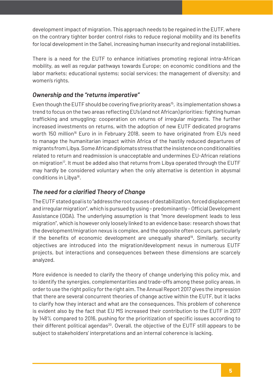development impact of migration. This approach needs to be regained in the EUTF, where on the contrary tighter border control risks to reduce regional mobility and its benefits for local development in the Sahel, increasing human insecurity and regional instabilities.

There is a need for the EUTF to enhance initiatives promoting regional intra-African mobility, as well as regular pathways towards Europe; on economic conditions and the labor markets; educational systems; social services; the management of diversity; and women's rights.

### *Ownership and the "returns imperative"*

Even though the EUTF should be covering five priority areas<sup>15</sup>, its implementation shows a trend to focus on the two areas reflecting EU's (and not African) priorities: fighting human trafficking and smuggling; cooperation on returns of irregular migrants. The further increased investments on returns, with the adoption of new EUTF dedicated programs worth 150 million<sup>16</sup> Euro in in February 2018, seem to have originated from EU's need to manage the humanitarian impact within Africa of the hastily reduced departures of migrants from Libya. Some African diplomats stress that the insistence on conditionalities related to return and readmission is unacceptable and undermines EU-African relations on migration<sup>17</sup>. It must be added also that returns from Libya operated through the EUTF may hardly be considered voluntary when the only alternative is detention in abysmal conditions in Libya18.

### *The need for a clarified Theory of Change*

The EUTF stated goal is to "address the root causes of destabilization, forced displacement and irregular migration", which is pursued by using – predominantly – Official Development Assistance (ODA). The underlying assumption is that "more development leads to less migration", which is however only loosely linked to an evidence base: research shows that the development/migration nexus is complex, and the opposite often occurs, particularly if the benefits of economic development are unequally shared<sup>19</sup>. Similarly, security objectives are introduced into the migration/development nexus in numerous EUTF projects, but interactions and consequences between these dimensions are scarcely analyzed.

More evidence is needed to clarify the theory of change underlying this policy mix, and to identify the synergies, complementarities and trade-offs among these policy areas, in order to use the right policy for the right aim. The Annual Report 2017 gives the impression that there are several concurrent theories of change active within the EUTF, but it lacks to clarify how they interact and what are the consequences. This problem of coherence is evident also by the fact that EU MS increased their contribution to the EUTF in 2017 by 148% compared to 2016, pushing for the prioritization of specific issues according to their different political agendas<sup>20</sup>. Overall, the objective of the EUTF still appears to be subject to stakeholders' interpretations and an internal coherence is lacking.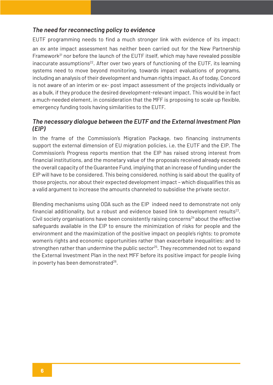### *The need for reconnecting policy to evidence*

EUTF programming needs to find a much stronger link with evidence of its impact: an ex ante impact assessment has neither been carried out for the New Partnership Framework<sup>21</sup> nor before the launch of the EUTF itself, which may have revealed possible inaccurate assumptions<sup>22</sup>. After over two years of functioning of the EUTF, its learning systems need to move beyond monitoring, towards impact evaluations of programs, including an analysis of their development and human rights impact. As of today, Concord is not aware of an interim or ex- post impact assessment of the projects individually or as a bulk, if they produce the desired development-relevant impact. This would be in fact a much-needed element, in consideration that the MFF is proposing to scale up flexible, emergency funding tools having similarities to the EUTF.

### *The necessary dialogue between the EUTF and the External Investment Plan (EIP)*

In the frame of the Commission's Migration Package, two financing instruments support the external dimension of EU migration policies, i.e. the EUTF and the EIP. The Commission's Progress reports mention that the EIP has raised strong interest from financial institutions, and the monetary value of the proposals received already exceeds the overall capacity of the Guarantee Fund, implying that an increase of funding under the EIP will have to be considered. This being considered, nothing is said about the quality of those projects, nor about their expected development impact – which disqualifies this as a valid argument to increase the amounts channeled to subsidise the private sector.

Blending mechanisms using ODA such as the EIP indeed need to demonstrate not only financial additionality, but a robust and evidence based link to development results $^{23}$ . Civil society organisations have been consistently raising concerns<sup>24</sup> about the effective safeguards available in the EIP to ensure the minimization of risks for people and the environment and the maximization of the positive impact on people's rights; to promote women's rights and economic opportunities rather than exacerbate inequalities; and to strengthen rather than undermine the public sector<sup>25</sup>. They recommended not to expand the External Investment Plan in the next MFF before its positive impact for people living in poverty has been demonstrated $26$ .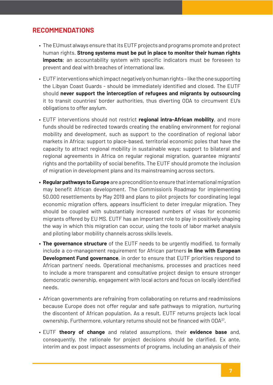# **RECOMMENDATIONS**

- The EUmust always ensure that its EUTF projects and programs promote and protect human rights. **Strong systems must be put in place to monitor their human rights impacts**; an accountability system with specific indicators must be foreseen to prevent and deal with breaches of international law.
- EUTF interventions which impact negatively on human rights like the one supporting the Libyan Coast Guards - should be immediately identified and closed. The EUTF should **never support the interception of refugees and migrants by outsourcing** it to transit countries' border authorities, thus diverting ODA to circumvent EU's obligations to offer asylum.
- EUTF interventions should not restrict **regional intra-African mobility**, and more funds should be redirected towards creating the enabling environment for regional mobility and development, such as support to the coordination of regional labor markets in Africa; support to place-based, territorial economic poles that have the capacity to attract regional mobility in sustainable ways; support to bilateral and regional agreements in Africa on regular regional migration, guarantee migrants' rights and the portability of social benefits. The EUTF should promote the inclusion of migration in development plans and its mainstreaming across sectors.
- **• Regular pathways to Europe** are a precondition to ensure that international migration may benefit African development. The Commission's Roadmap for implementing 50.000 resettlements by May 2019 and plans to pilot projects for coordinating legal economic migration offers, appears insufficient to deter irregular migration. They should be coupled with substantially increased numbers of visas for economic migrants offered by EU MS. EUTF has an important role to play in positively shaping the way in which this migration can occur, using the tools of labor market analysis and piloting labor mobility channels across skills levels.
- **• The governance structure** of the EUTF needs to be urgently modified, to formally include a co-management requirement for African partners **in line with European Development Fund governance**, in order to ensure that EUTF priorities respond to African partners' needs. Operational mechanisms, processes and practices need to include a more transparent and consultative project design to ensure stronger democratic ownership, engagement with local actors and focus on locally identified needs.
- African governments are refraining from collaborating on returns and readmissions because Europe does not offer regular and safe pathways to migration, nurturing the discontent of African population. As a result, EUTF returns projects lack local ownership. Furthermore, voluntary returns should not be financed with ODA27.
- EUTF **theory of change** and related assumptions, their **evidence base** and, consequently, the rationale for project decisions should be clarified. Ex ante, interim and ex post impact assessments of programs, including an analysis of their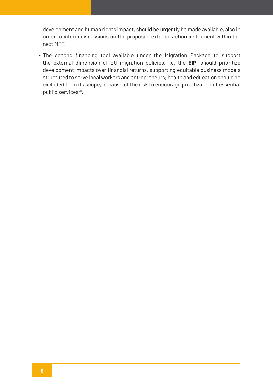development and human rights impact, should be urgently be made available, also in order to inform discussions on the proposed external action instrument within the next MFF.

• The second financing tool available under the Migration Package to support the external dimension of EU migration policies, i.e. the **EIP**, should prioritize development impacts over financial returns, supporting equitable business models structured to serve local workers and entrepreneurs; health and education should be excluded from its scope, because of the risk to encourage privatization of essential public services<sup>28</sup>.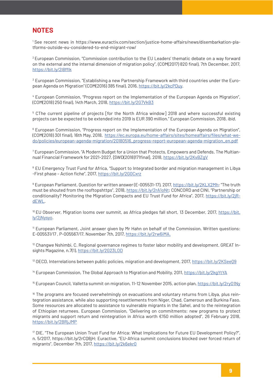## **NOTES**

1 See recent news in https://www.euractiv.com/section/justice-home-affairs/news/disembarkation-platforms-outside-eu-considered-to-end-migrant-row/

<sup>2</sup>European Commission, "Commission contribution to the EU Leaders' thematic debate on a way forward on the external and the internal dimension of migration policy", (COM(2017) 820 final), 7th December, 2017, https://bit.ly/2I8fflk

3 European Commission, "Establishing a new Partnership Framework with third countries under the European Agenda on Migration" (COM(2016) 385 final), 2016, https://bit.ly/2kcPDuy.

4 European Commission, "Progress report on the Implementation of the European Agenda on Migration", (COM(2018) 250 final), 14th March, 2018, https://bit.ly/2G7VkB3

5 CThe current pipeline of projects [for the North Africa window] 2018 and where successful existing projects can be expected to be extended into 2019 is EUR 390 million." European Commission, 2018, *ibid*.

<sup>6</sup> European Commission, "Progress report on the Implementation of the European Agenda on Migration", (COM(2018) 301 final), 16th May, 2018, https://ec.europa.eu/home-affairs/sites/homeaffairs/files/what-wedo/policies/european-agenda-migration/20180516\_progress-report-european-agenda-migration\_en.pdf

 $^7$  European Commission, "A Modern Budget for a Union that Protects, Empowers and Defends. The Multiannual Financial Framework for 2021-2027, {SWD(2018)171final}, 2018, https://bit.ly/2KvBZgV

<sup>8</sup> EU Emergency Trust Fund for Africa, "Support to Integrated border and migration management in Libya -First phase – Action fiche", 2017, https://bit.ly/2G0Cxrz

<sup>9</sup> European Parliament, Question for written answer (E-005531-17), 2017, <u>https://bit.ly/2KLX2Mh</u>; "The truth must be shouted from the rooftopshttps", 2018, https://bit.ly/2rA1oNt; CONCORD and CINI, "Partnership or conditionality? Monitoring the Migration Compacts and EU Trust Fund for Africa", 2017, https://bit.ly/2jRdEWL.

<sup>10</sup> EU Observer, Migration looms over summit, as Africa pledges fall short, 13 December, 2017, https://bit. ly/2jNysyo.

<sup>11</sup> European Parliament, Joint answer given by Mr Hahn on behalf of the Commission. Written questions: E-005531/17 , P-005567/17. November 7th, 2017, https://bit.ly/2rw6iMA.

 $12$  Changwe Nshimbi, C. Regional governance regimes to foster labor mobility and development. GREAT Insights Magazine, n.7(1), https://bit.ly/2G23LOD

<sup>13</sup> OECD, Interrelations between public policies, migration and development, 2017, https://bit.ly/2KSeeQ9

<sup>14</sup> European Commission, The Global Approach to Migration and Mobility, 2011, https://bit.ly/2kgYtYA

<sup>15</sup> European Council, Valletta summit on migration, 11-12 November 2015, action plan, https://bit.ly/2ryO1Ny

<sup>16</sup> The programs are focused overwhelmingly on evacuations and voluntary returns from Libya, plus reintegration assistance, while also supporting resettlements from Niger, Chad, Cameroun and Burkina Faso. Some resources are allocated to assistance to vulnerable migrants in the Sahel, and to the reintegration of Ethiopian returnees. European Commission, "Delivering on commitments: new programs to protect migrants and support return and reintegration in Africa worth €150 million adopted", 26 February 2018, https://bit.ly/2BRjJMP

<sup>17</sup> DIE, "The European Union Trust Fund for Africa: What Implications for Future EU Development Policy?", n. 5/2017, https://bit.ly/2rCQ8jH; Euractive, "EU-Africa summit conclusions blocked over forced return of migrants", December 7th, 2017, https://bit.ly/2k6ekr0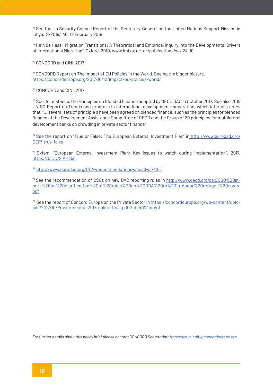<sup>18</sup> See the Un Security Council Report of the Secretary-General on the United Nations Support Mission in Libya, S/2018/140, 12 February 2018

<sup>19</sup> Hein de Haas, "Migration Transitions: A Theoretical and Empirical Inquiry into the Developmental Drivers of International Migration", Oxford, 2010, www.imi.ox.ac. uk/publications/wp-24-10

20 CONCORD and CINI, 2017

<sup>21</sup> CONCORD Report on The Impact of EU Policies in the World. Seeing the bigger picture. https://concordeurope.org/2017/10/12/impact-eu-policies-world/

22 CONCORD and CINI, 2017

<sup>23</sup> See, for instance, the Principles on Blended Finance adopted by OECD DAC in October 2017. See also 2018 UN SG Report on Trends and progress in international development cooperation, which inter alia notes that "... several sets of principle s have been agreed on blended finance, such as the principles for blended finance of the Development Assistance Committee of OECD and the Group of 20 principles for multilateral development banks on crowding in private sector finance"

<sup>24</sup> See the report on "True or False: The European External Investment Plan" in http://www.eurodad.org/ EEIP-true-false

<sup>25</sup> Oxfam, "European External Investment Plan: Key issues to watch during implementation", 2017, https://bit.ly/2IAH35s.

<sup>26</sup>http://www.eurodad.org/ODA-recommendations-ahead-of-MFF

<sup>27</sup> See the recommendation of CSOs on new DAC reporting rules in http://www.oecd.org/dac/CSO%20inputs%20on%20clarification%20of%20rules%20on%20ODA%20to%20in-donor%20refugee%20costs. pdf

<sup>28</sup> See the report of Concord Europe on the Private Sector in https://concordeurope.org/wp-content/uploads/2017/10/Private-sector-2017-online-final.pdf?1fdb40&1fdb40

*For further details about this policy brief please contact CONCORD Secretariat: francesca.minniti@concordeurope.org*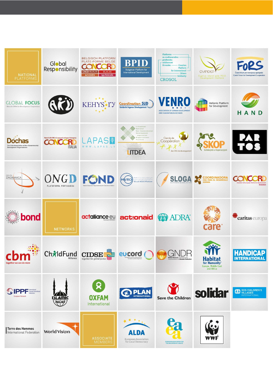